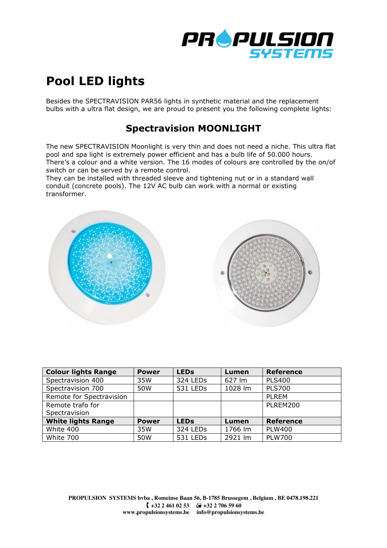

## **Pool LED lights**

Besides the SPECTRAVISION PAR56 lights in synthetic material and the replacement bulbs with a ultra flat design, we are proud to present you the following complete lights:

## **Spectravision MOONLIGHT**

The new SPECTRAVISION Moonlight is very thin and does not need a niche. This ultra flat pool and spa light is extremely power efficient and has a bulb life of 50.000 hours. There's a colour and a white version. The 16 modes of colours are controlled by the on/of switch or can be served by a remote control.

They can be installed with threaded sleeve and tightening nut or in a standard wall conduit (concrete pools). The 12V AC bulb can work with a normal or existing transformer.



| <b>Colour lights Range</b> | <b>Power</b> | <b>LEDs</b>          | Lumen   | <b>Reference</b> |
|----------------------------|--------------|----------------------|---------|------------------|
| Spectravision 400          | 35W          | 324 LEDs             | 627 lm  | <b>PLS400</b>    |
| Spectravision 700          | 50W          | 531 LEDs             | 1028 lm | <b>PLS700</b>    |
| Remote for Spectravision   |              |                      |         | PI REM           |
| Remote trafo for           |              |                      |         | PLREM200         |
| Spectravision              |              |                      |         |                  |
| <b>White lights Range</b>  | <b>Power</b> | <b>LEDs</b>          | Lumen   | <b>Reference</b> |
| White 400                  | 35W          | 324 LED <sub>s</sub> | 1766 lm | <b>PLW400</b>    |
| White 700                  | 50W          | 531 LEDs             | 2921 lm | <b>PLW700</b>    |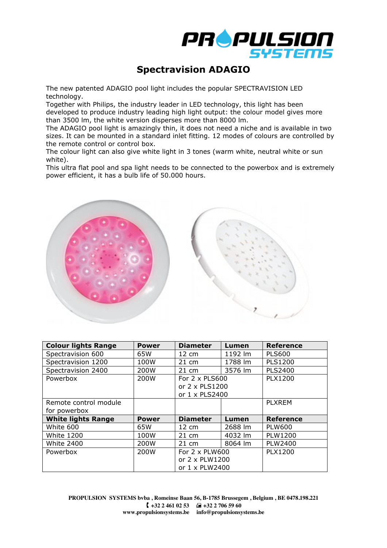

## **Spectravision ADAGIO**

The new patented ADAGIO pool light includes the popular SPECTRAVISION LED technology.

Together with Philips, the industry leader in LED technology, this light has been developed to produce industry leading high light output: the colour model gives more than 3500 lm, the white version disperses more than 8000 lm.

The ADAGIO pool light is amazingly thin, it does not need a niche and is available in two sizes. It can be mounted in a standard inlet fitting. 12 modes of colours are controlled by the remote control or control box.

The colour light can also give white light in 3 tones (warm white, neutral white or sun white).

This ultra flat pool and spa light needs to be connected to the powerbox and is extremely power efficient, it has a bulb life of 50.000 hours.



| <b>Colour lights Range</b> | <b>Power</b> | <b>Diameter</b>       | Lumen   | <b>Reference</b> |
|----------------------------|--------------|-----------------------|---------|------------------|
| Spectravision 600          | 65W          | $12 \text{ cm}$       | 1192 lm | <b>PLS600</b>    |
| Spectravision 1200         | 100W         | 21 cm                 | 1788 lm | <b>PLS1200</b>   |
| Spectravision 2400         | 200W         | $21 \text{ cm}$       | 3576 lm | <b>PLS2400</b>   |
| Powerbox                   | 200W         | For $2 \times$ PLS600 |         | <b>PLX1200</b>   |
|                            |              | or 2 x PLS1200        |         |                  |
|                            |              | or 1 x PLS2400        |         |                  |
| Remote control module      |              |                       |         | <b>PLXREM</b>    |
| for powerbox               |              |                       |         |                  |
| <b>White lights Range</b>  | <b>Power</b> | <b>Diameter</b>       | Lumen   | <b>Reference</b> |
| White 600                  | 65W          | $12 \text{ cm}$       | 2688 lm | <b>PLW600</b>    |
| <b>White 1200</b>          | 100W         | $21 \text{ cm}$       | 4032 lm | PLW1200          |
| <b>White 2400</b>          | 200W         | $21 \text{ cm}$       | 8064 lm | PLW2400          |
| Powerbox                   | 200W         | For $2 \times$ PLW600 |         | <b>PLX1200</b>   |
|                            |              | or 2 x PLW1200        |         |                  |
|                            |              | or $1 \times$ PLW2400 |         |                  |